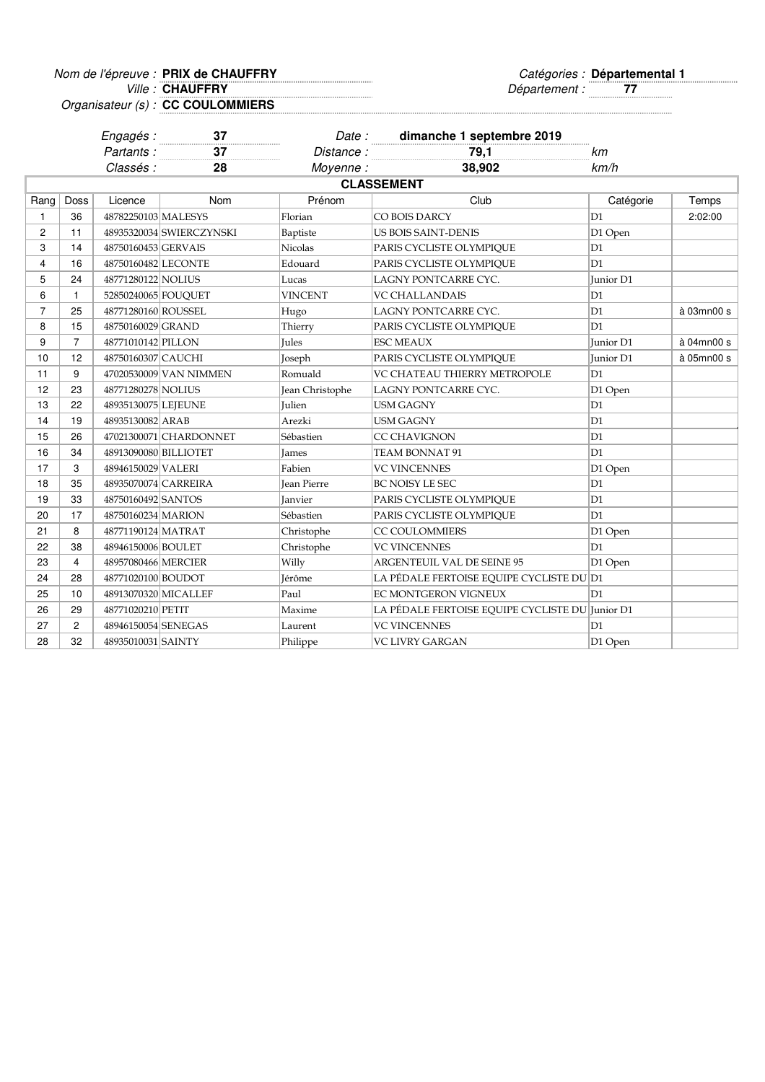Nom de l'épreuve : PRIX de CHAUFFRY **Départemental 1** 

**Ville: CHAUFFRY** 

Ville : Département : **77**

Organisateur (s) : **CC COULOMMIERS**

|                |                | Engagés :             |                          |                    |                                                 |           |            |
|----------------|----------------|-----------------------|--------------------------|--------------------|-------------------------------------------------|-----------|------------|
|                |                | Partants:             | $rac{37}{37}$            | Distance:          | Date: dimanche 1 septembre 2019<br>79,1         | km        |            |
|                |                | Classés :             | 28                       | Moyenne:           | 38,902                                          | km/h      |            |
|                |                |                       |                          |                    | <b>CLASSEMENT</b>                               |           |            |
| Rang           | Doss           | Licence               | Nom                      | Prénom             | Club                                            | Catégorie | Temps      |
| $\mathbf{1}$   | 36             | 48782250103 MALESYS   |                          | Florian            | CO BOIS DARCY                                   | D1        | 2:02:00    |
| $\overline{c}$ | 11             |                       | 48935320034 SWIERCZYNSKI | Baptiste           | <b>US BOIS SAINT-DENIS</b>                      | D1 Open   |            |
| 3              | 14             | 48750160453 GERVAIS   |                          | <b>Nicolas</b>     | PARIS CYCLISTE OLYMPIQUE                        | D1        |            |
| 4              | 16             | 48750160482 LECONTE   |                          | Edouard            | PARIS CYCLISTE OLYMPIOUE                        | D1        |            |
| 5              | 24             | 48771280122 NOLIUS    |                          | Lucas              | LAGNY PONTCARRE CYC.                            | Junior D1 |            |
| 6              | $\mathbf{1}$   | 52850240065 FOUQUET   |                          | <b>VINCENT</b>     | <b>VC CHALLANDAIS</b>                           | D1        |            |
| $\overline{7}$ | 25             | 48771280160 ROUSSEL   |                          | Hugo               | LAGNY PONTCARRE CYC.                            | D1        | à 03mn00 s |
| 8              | 15             | 48750160029 GRAND     |                          | Thierry            | PARIS CYCLISTE OLYMPIQUE                        | D1        |            |
| 9              | $\overline{7}$ | 48771010142 PILLON    |                          | <b>Jules</b>       | ESC MEAUX                                       | Junior D1 | à 04mn00 s |
| 10             | 12             | 48750160307 CAUCHI    |                          | Joseph             | PARIS CYCLISTE OLYMPIQUE                        | Junior D1 | à 05mn00 s |
| 11             | 9              |                       | 47020530009 VAN NIMMEN   | Romuald            | VC CHATEAU THIERRY METROPOLE                    | D1        |            |
| 12             | 23             | 48771280278 NOLIUS    |                          | Jean Christophe    | LAGNY PONTCARRE CYC.                            | D1 Open   |            |
| 13             | 22             | 48935130075 LEJEUNE   |                          | <b>Julien</b>      | USM GAGNY                                       | D1        |            |
| 14             | 19             | 48935130082 ARAB      |                          | Arezki             | <b>USM GAGNY</b>                                | D1        |            |
| 15             | 26             |                       | 47021300071 CHARDONNET   | Sébastien          | CC CHAVIGNON                                    | D1        |            |
| 16             | 34             | 48913090080 BILLIOTET |                          | <b>James</b>       | TEAM BONNAT 91                                  | D1        |            |
| 17             | 3              | 48946150029 VALERI    |                          | Fabien             | <b>VC VINCENNES</b>                             | D1 Open   |            |
| 18             | 35             | 48935070074 CARREIRA  |                          | <b>Jean Pierre</b> | BC NOISY LE SEC                                 | D1        |            |
| 19             | 33             | 48750160492 SANTOS    |                          | <b>Janvier</b>     | PARIS CYCLISTE OLYMPIQUE                        | D1        |            |
| 20             | 17             | 48750160234 MARION    |                          | Sébastien          | PARIS CYCLISTE OLYMPIQUE                        | D1        |            |
| 21             | 8              | 48771190124 MATRAT    |                          | Christophe         | <b>CC COULOMMIERS</b>                           | D1 Open   |            |
| 22             | 38             | 48946150006 BOULET    |                          | Christophe         | <b>VC VINCENNES</b>                             | D1        |            |
| 23             | $\overline{4}$ | 48957080466 MERCIER   |                          | Willy              | ARGENTEUIL VAL DE SEINE 95                      | D1 Open   |            |
| 24             | 28             | 48771020100 BOUDOT    |                          | Jérôme             | LA PÉDALE FERTOISE EQUIPE CYCLISTE DU D1        |           |            |
| 25             | 10             | 48913070320 MICALLEF  |                          | Paul               | EC MONTGERON VIGNEUX                            | D1        |            |
| 26             | 29             | 48771020210 PETIT     |                          | Maxime             | LA PÉDALE FERTOISE EQUIPE CYCLISTE DU Junior D1 |           |            |
| 27             | $\overline{c}$ | 48946150054 SENEGAS   |                          | Laurent            | <b>VC VINCENNES</b>                             | D1        |            |
| 28             | 32             | 48935010031 SAINTY    |                          | Philippe           | <b>VC LIVRY GARGAN</b>                          | D1 Open   |            |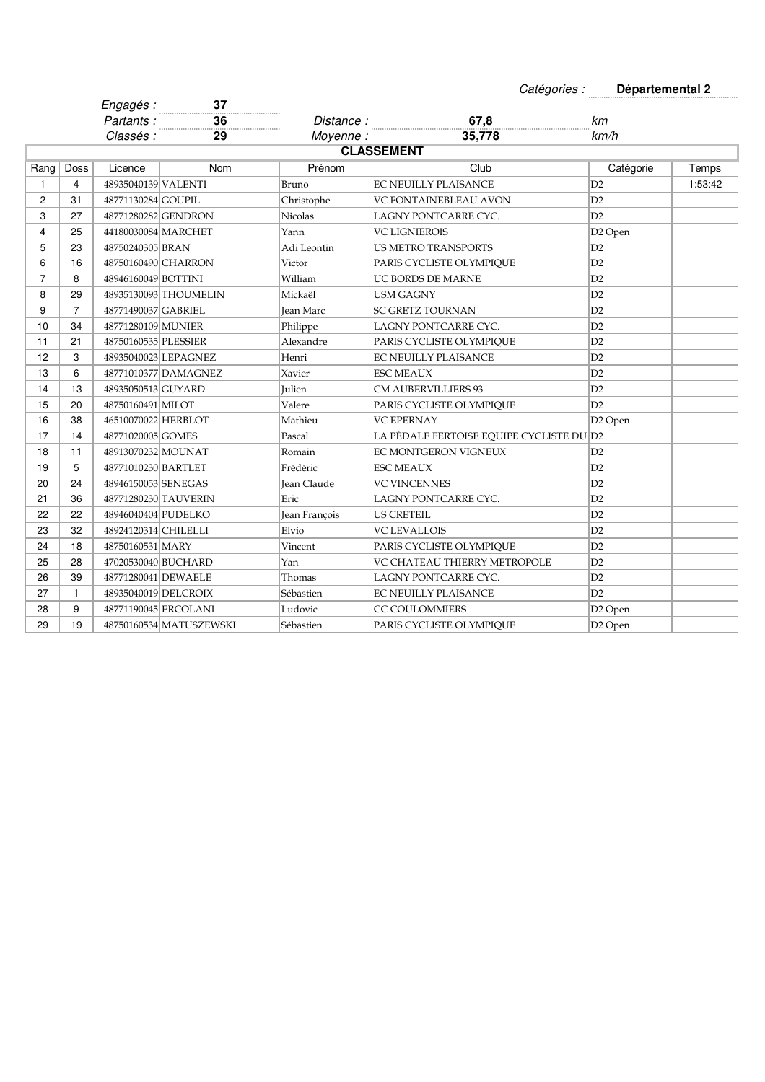| Catégories : | Départemental 2 |
|--------------|-----------------|
|--------------|-----------------|

|                |                | Engagés :            | 37<br>.                 |                    |                                          |                     |         |
|----------------|----------------|----------------------|-------------------------|--------------------|------------------------------------------|---------------------|---------|
|                |                | Partants:            | 36<br>.                 | Distance:          | 67,8                                     | km                  |         |
|                |                | Classés :            | 29                      | Moyenne:           | 35,778                                   | km/h                |         |
|                |                |                      |                         |                    | <b>CLASSEMENT</b>                        |                     |         |
| Rang           | Doss           | Licence              | <b>Nom</b>              | Prénom             | Club                                     | Catégorie           | Temps   |
| 1              | $\overline{4}$ | 48935040139 VALENTI  |                         | Bruno              | <b>EC NEUILLY PLAISANCE</b>              | D2                  | 1:53:42 |
| $\overline{c}$ | 31             | 48771130284 GOUPIL   |                         | Christophe         | VC FONTAINEBLEAU AVON                    | D2                  |         |
| 3              | 27             | 48771280282 GENDRON  |                         | <b>Nicolas</b>     | LAGNY PONTCARRE CYC.                     | D2                  |         |
| $\overline{4}$ | 25             | 44180030084 MARCHET  |                         | Yann               | <b>VC LIGNIEROIS</b>                     | D <sub>2</sub> Open |         |
| 5              | 23             | 48750240305 BRAN     |                         | Adi Leontin        | <b>US METRO TRANSPORTS</b>               | D2                  |         |
| 6              | 16             | 48750160490 CHARRON  |                         | Victor             | PARIS CYCLISTE OLYMPIOUE                 | D2                  |         |
| $\overline{7}$ | 8              | 48946160049 BOTTINI  |                         | William            | UC BORDS DE MARNE                        | D2                  |         |
| 8              | 29             |                      | 48935130093 THOUMELIN   | Mickaël            | USM GAGNY                                | D2                  |         |
| 9              | $\overline{7}$ | 48771490037 GABRIEL  |                         | Jean Marc          | SC GRETZ TOURNAN                         | D2                  |         |
| 10             | 34             | 48771280109 MUNIER   |                         | Philippe           | LAGNY PONTCARRE CYC.                     | D2                  |         |
| 11             | 21             | 48750160535 PLESSIER |                         | Alexandre          | PARIS CYCLISTE OLYMPIQUE                 | D2                  |         |
| 12             | 3              |                      | 48935040023 LEPAGNEZ    | Henri              | EC NEUILLY PLAISANCE                     | D2                  |         |
| 13             | 6              |                      | 48771010377 DAMAGNEZ    | Xavier             | <b>ESC MEAUX</b>                         | D2                  |         |
| 14             | 13             | 48935050513 GUYARD   |                         | Julien             | <b>CM AUBERVILLIERS 93</b>               | D2                  |         |
| 15             | 20             | 48750160491 MILOT    |                         | Valere             | PARIS CYCLISTE OLYMPIQUE                 | D2                  |         |
| 16             | 38             | 46510070022 HERBLOT  |                         | Mathieu            | <b>VC EPERNAY</b>                        | D <sub>2</sub> Open |         |
| 17             | 14             | 48771020005 GOMES    |                         | Pascal             | LA PÉDALE FERTOISE EQUIPE CYCLISTE DU D2 |                     |         |
| 18             | 11             | 48913070232 MOUNAT   |                         | Romain             | <b>EC MONTGERON VIGNEUX</b>              | D2                  |         |
| 19             | 5              | 48771010230 BARTLET  |                         | Frédéric           | <b>ESC MEAUX</b>                         | D2                  |         |
| 20             | 24             | 48946150053 SENEGAS  |                         | <b>Jean Claude</b> | <b>VC VINCENNES</b>                      | D2                  |         |
| 21             | 36             | 48771280230 TAUVERIN |                         | Eric               | LAGNY PONTCARRE CYC.                     | D2                  |         |
| 22             | 22             | 48946040404 PUDELKO  |                         | Jean François      | <b>US CRETEIL</b>                        | D2                  |         |
| 23             | 32             | 48924120314 CHILELLI |                         | Elvio              | <b>VC LEVALLOIS</b>                      | D2                  |         |
| 24             | 18             | 48750160531 MARY     |                         | Vincent            | PARIS CYCLISTE OLYMPIQUE                 | D2                  |         |
| 25             | 28             | 47020530040 BUCHARD  |                         | Yan                | VC CHATEAU THIERRY METROPOLE             | D2                  |         |
| 26             | 39             | 48771280041 DEWAELE  |                         | Thomas             | LAGNY PONTCARRE CYC.                     | D2                  |         |
| 27             | $\mathbf{1}$   | 48935040019 DELCROIX |                         | Sébastien          | EC NEUILLY PLAISANCE                     | D2                  |         |
| 28             | 9              | 48771190045 ERCOLANI |                         | Ludovic            | <b>CC COULOMMIERS</b>                    | D <sub>2</sub> Open |         |
| 29             | 19             |                      | 48750160534 MATUSZEWSKI | Sébastien          | PARIS CYCLISTE OLYMPIQUE                 | D <sub>2</sub> Open |         |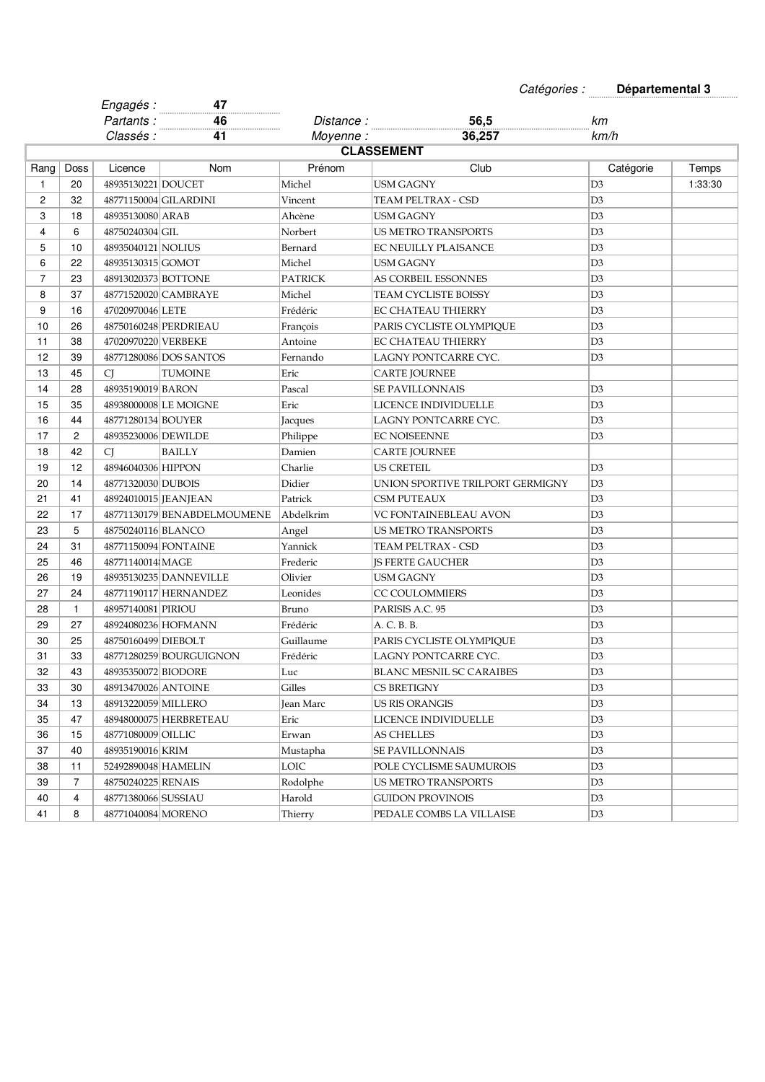| Catégories : | Départemental 3 |
|--------------|-----------------|
|--------------|-----------------|

|                |                   | Engagés :             | 47                          |                |                                  |                |         |  |  |
|----------------|-------------------|-----------------------|-----------------------------|----------------|----------------------------------|----------------|---------|--|--|
|                |                   | Partants:             | 46<br>.                     | Distance :     | 56,5                             | km             |         |  |  |
|                |                   | Classés :             | 41                          | Moyenne:       | 36,257                           | km/h           |         |  |  |
|                | <b>CLASSEMENT</b> |                       |                             |                |                                  |                |         |  |  |
| Rang           | Doss              | Licence               | Nom                         | Prénom         | Club                             | Catégorie      | Temps   |  |  |
| 1              | 20                | 48935130221 DOUCET    |                             | Michel         | <b>USM GAGNY</b>                 | D <sub>3</sub> | 1:33:30 |  |  |
| $\overline{2}$ | 32                |                       | 48771150004 GILARDINI       | Vincent        | TEAM PELTRAX - CSD               | D <sub>3</sub> |         |  |  |
| 3              | 18                | 48935130080 ARAB      |                             | Ahcène         | <b>USM GAGNY</b>                 | D3             |         |  |  |
| 4              | 6                 | 48750240304 GIL       |                             | Norbert        | <b>US METRO TRANSPORTS</b>       | D3             |         |  |  |
| 5              | 10                | 48935040121 NOLIUS    |                             | Bernard        | EC NEUILLY PLAISANCE             | D <sub>3</sub> |         |  |  |
| 6              | 22                | 48935130315 GOMOT     |                             | Michel         | USM GAGNY                        | D <sub>3</sub> |         |  |  |
| $\overline{7}$ | 23                | 48913020373 BOTTONE   |                             | <b>PATRICK</b> | AS CORBEIL ESSONNES              | D <sub>3</sub> |         |  |  |
| 8              | 37                |                       | 48771520020 CAMBRAYE        | Michel         | TEAM CYCLISTE BOISSY             | D3             |         |  |  |
| 9              | 16                | 47020970046 LETE      |                             | Frédéric       | <b>EC CHATEAU THIERRY</b>        | D3             |         |  |  |
| 10             | 26                |                       | 48750160248 PERDRIEAU       | François       | PARIS CYCLISTE OLYMPIQUE         | D <sub>3</sub> |         |  |  |
| 11             | 38                | 47020970220 VERBEKE   |                             | Antoine        | EC CHATEAU THIERRY               | D <sub>3</sub> |         |  |  |
| 12             | 39                |                       | 48771280086 DOS SANTOS      | Fernando       | LAGNY PONTCARRE CYC.             | D <sub>3</sub> |         |  |  |
| 13             | 45                | <b>CJ</b>             | <b>TUMOINE</b>              | Eric           | <b>CARTE JOURNEE</b>             |                |         |  |  |
| 14             | 28                | 48935190019 BARON     |                             | Pascal         | <b>SE PAVILLONNAIS</b>           | D <sub>3</sub> |         |  |  |
| 15             | 35                |                       | 48938000008 LE MOIGNE       | Eric           | LICENCE INDIVIDUELLE             | D3             |         |  |  |
| 16             | 44                | 48771280134 BOUYER    |                             | Jacques        | LAGNY PONTCARRE CYC.             | D3             |         |  |  |
| 17             | 2                 | 48935230006 DEWILDE   |                             |                | <b>EC NOISEENNE</b>              | D3             |         |  |  |
|                | 42                |                       |                             | Philippe       |                                  |                |         |  |  |
| 18             |                   | CJ                    | <b>BAILLY</b>               | Damien         | CARTE JOURNEE                    |                |         |  |  |
| 19             | 12                | 48946040306 HIPPON    |                             | Charlie        | <b>US CRETEIL</b>                | D <sub>3</sub> |         |  |  |
| 20             | 14                | 48771320030 DUBOIS    |                             | Didier         | UNION SPORTIVE TRILPORT GERMIGNY | D3             |         |  |  |
| 21             | 41                | 48924010015 [JEANJEAN |                             | Patrick        | <b>CSM PUTEAUX</b>               | D3             |         |  |  |
| 22             | 17                |                       | 48771130179 BENABDELMOUMENE | Abdelkrim      | VC FONTAINEBLEAU AVON            | D3             |         |  |  |
| 23             | 5                 | 48750240116 BLANCO    |                             | Angel          | <b>US METRO TRANSPORTS</b>       | D3             |         |  |  |
| 24             | 31                |                       | 48771150094 FONTAINE        | Yannick        | TEAM PELTRAX - CSD               | D3             |         |  |  |
| 25             | 46                | 48771140014 MAGE      |                             | Frederic       | <b>IS FERTE GAUCHER</b>          | D <sub>3</sub> |         |  |  |
| 26             | 19                |                       | 48935130235 DANNEVILLE      | Olivier        | <b>USM GAGNY</b>                 | D3             |         |  |  |
| 27             | 24                |                       | 48771190117 HERNANDEZ       | Leonides       | CC COULOMMIERS                   | D3             |         |  |  |
| 28             | $\mathbf{1}$      | 48957140081 PIRIOU    |                             | Bruno          | PARISIS A.C. 95                  | D3             |         |  |  |
| 29             | 27                |                       | 48924080236 HOFMANN         | Frédéric       | A. C. B. B.                      | D3             |         |  |  |
| 30             | 25                | 48750160499 DIEBOLT   |                             | Guillaume      | PARIS CYCLISTE OLYMPIOUE         | D <sub>3</sub> |         |  |  |
| 31             | 33                |                       | 48771280259 BOURGUIGNON     | Frédéric       | LAGNY PONTCARRE CYC.             | D <sub>3</sub> |         |  |  |
| 32             | 43                | 48935350072 BIODORE   |                             | Luc            | BLANC MESNIL SC CARAIBES         | D3             |         |  |  |
| 33             | 30                | 48913470026 ANTOINE   |                             | Gilles         | CS BRETIGNY                      | D3             |         |  |  |
| 34             | 13                | 48913220059 MILLERO   |                             | Jean Marc      | US RIS ORANGIS                   | D3             |         |  |  |
| 35             | 47                |                       | 48948000075 HERBRETEAU      | Eric           | LICENCE INDIVIDUELLE             | D <sub>3</sub> |         |  |  |
| 36             | 15                | 48771080009 OILLIC    |                             | Erwan          | AS CHELLES                       | D3             |         |  |  |
| 37             | 40                | 48935190016 KRIM      |                             | Mustapha       | SE PAVILLONNAIS                  | D3             |         |  |  |
| 38             | 11                | 52492890048 HAMELIN   |                             | LOIC           | POLE CYCLISME SAUMUROIS          | D3             |         |  |  |
| 39             | 7                 | 48750240225 RENAIS    |                             | Rodolphe       | US METRO TRANSPORTS              | D <sub>3</sub> |         |  |  |
| 40             | 4                 | 48771380066 SUSSIAU   |                             | Harold         | GUIDON PROVINOIS                 | D3             |         |  |  |
| 41             | 8                 | 48771040084 MORENO    |                             | Thierry        | PEDALE COMBS LA VILLAISE         | D <sub>3</sub> |         |  |  |